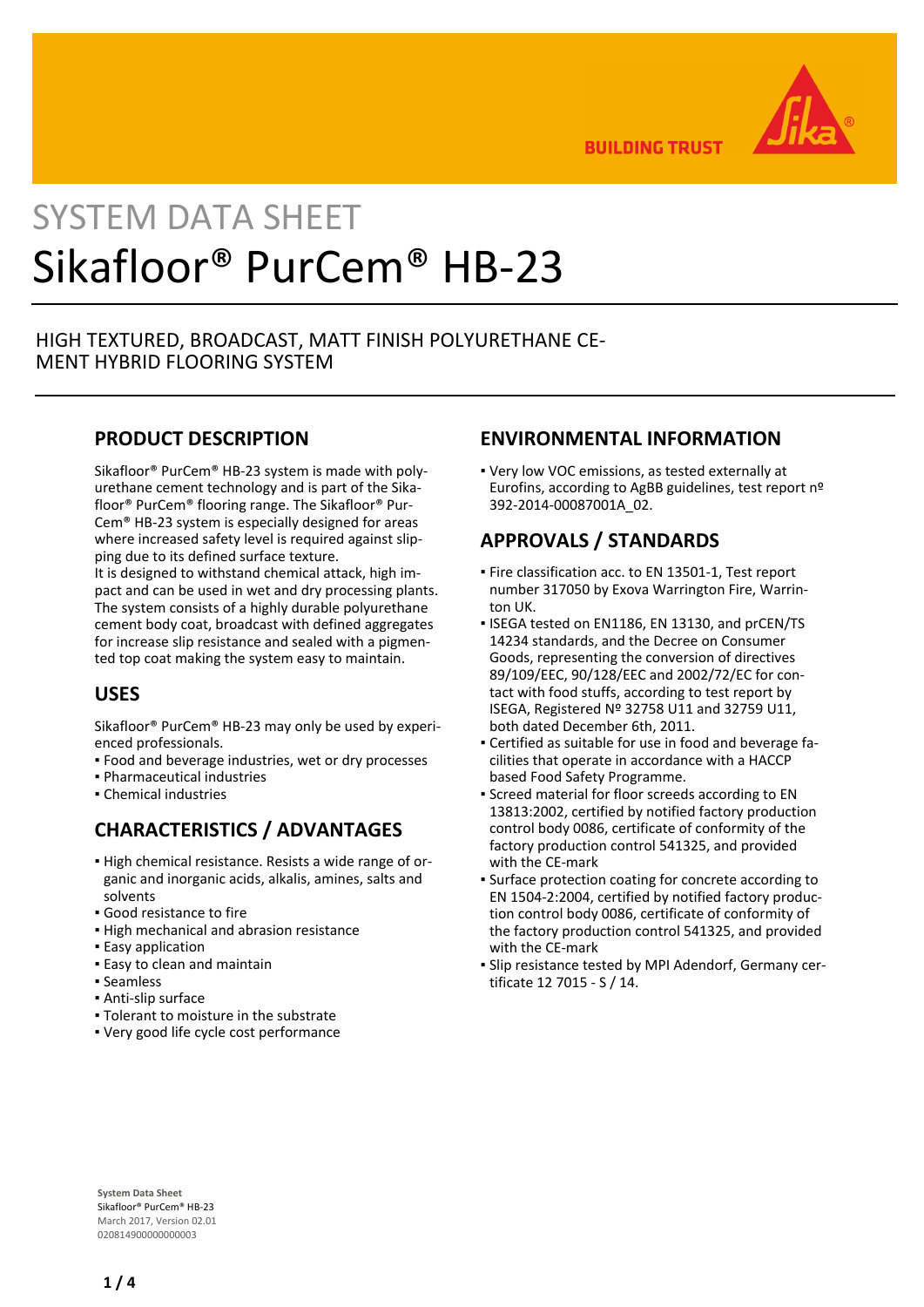

**BUILDING TRUST** 

# SYSTEM DATA SHEET Sikafloor® PurCem® HB-23

## HIGH TEXTURED, BROADCAST, MATT FINISH POLYURETHANE CE-MENT HYBRID FLOORING SYSTEM

## **PRODUCT DESCRIPTION**

Sikafloor® PurCem® HB-23 system is made with polyurethane cement technology and is part of the Sikafloor® PurCem® flooring range. The Sikafloor® Pur-Cem® HB-23 system is especially designed for areas where increased safety level is required against slipping due to its defined surface texture.

It is designed to withstand chemical attack, high impact and can be used in wet and dry processing plants. The system consists of a highly durable polyurethane cement body coat, broadcast with defined aggregates for increase slip resistance and sealed with a pigmented top coat making the system easy to maintain.

## **USES**

Sikafloor® PurCem® HB-23 may only be used by experienced professionals.

- Food and beverage industries, wet or dry processes
- Pharmaceutical industries
- Chemical industries

## **CHARACTERISTICS / ADVANTAGES**

- High chemical resistance. Resists a wide range of or-▪ ganic and inorganic acids, alkalis, amines, salts and solvents
- Good resistance to fire
- **.** High mechanical and abrasion resistance
- **Easy application**
- **Easy to clean and maintain**
- Seamless
- Anti-slip surface
- Tolerant to moisture in the substrate
- Very good life cycle cost performance

## **ENVIRONMENTAL INFORMATION**

Very low VOC emissions, as tested externally at ▪ Eurofins, according to AgBB guidelines, test report nº 392-2014-00087001A\_02.

## **APPROVALS / STANDARDS**

- **Fire classification acc. to EN 13501-1, Test report** number 317050 by Exova Warrington Fire, Warrinton UK.
- **.** ISEGA tested on EN1186, EN 13130, and prCEN/TS 14234 standards, and the Decree on Consumer Goods, representing the conversion of directives 89/109/EEC, 90/128/EEC and 2002/72/EC for contact with food stuffs, according to test report by ISEGA, Registered Nº 32758 U11 and 32759 U11, both dated December 6th, 2011.
- Certified as suitable for use in food and beverage fa-▪ cilities that operate in accordance with a HACCP based Food Safety Programme.
- **Screed material for floor screeds according to EN** 13813:2002, certified by notified factory production control body 0086, certificate of conformity of the factory production control 541325, and provided with the CE-mark
- **Surface protection coating for concrete according to** EN 1504-2:2004, certified by notified factory production control body 0086, certificate of conformity of the factory production control 541325, and provided with the CE-mark
- Slip resistance tested by MPI Adendorf, Germany cer-▪ tificate 12 7015 - S / 14.

**System Data Sheet** Sikafloor® PurCem® HB-23 March 2017, Version 02.01 020814900000000003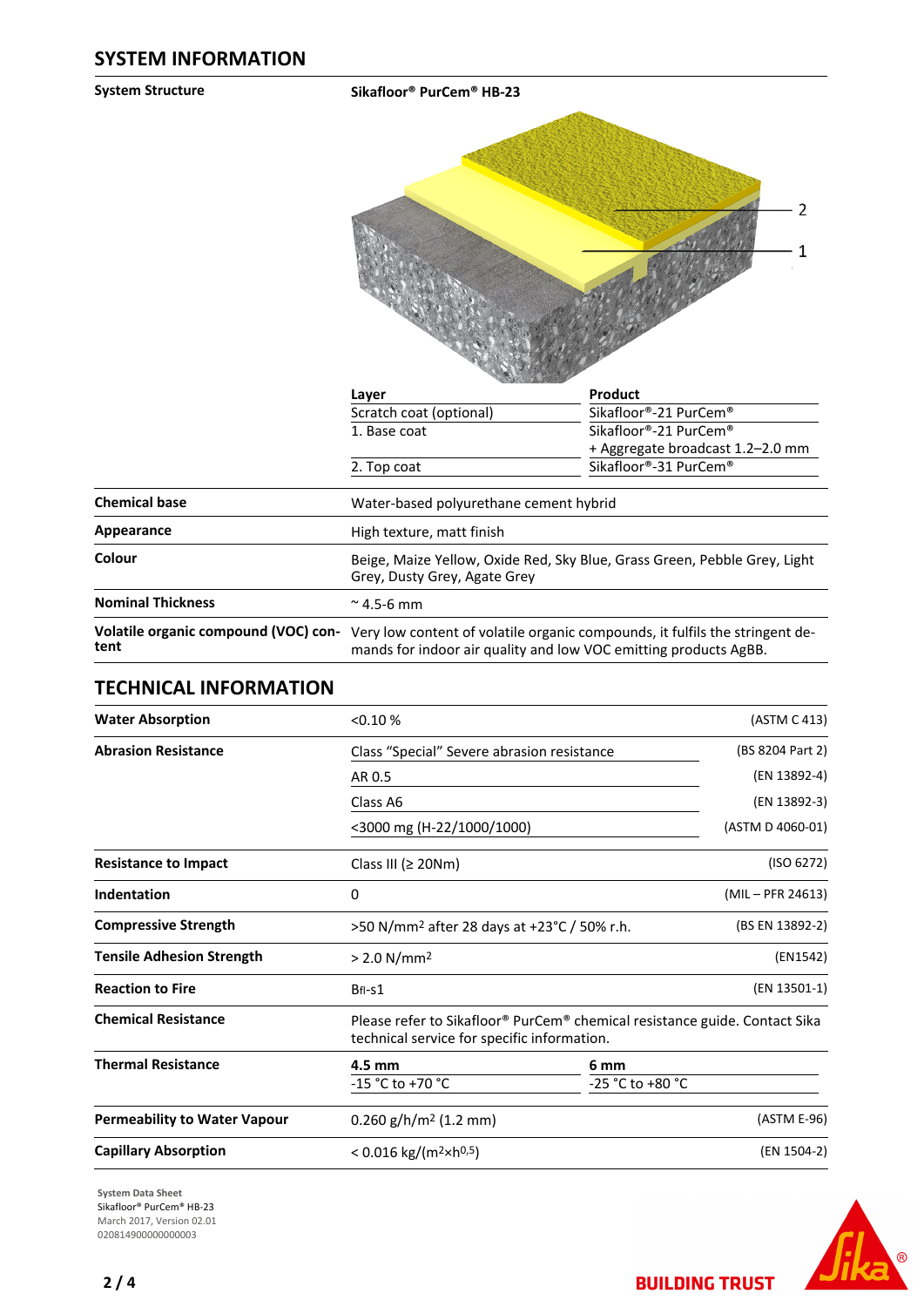**System Structure Sikafloor® PurCem® HB-23**  $-2$  $\mathbf{1}$ 

|                                              | Layer                                                                                                                                            | Product                          |  |
|----------------------------------------------|--------------------------------------------------------------------------------------------------------------------------------------------------|----------------------------------|--|
|                                              | Scratch coat (optional)                                                                                                                          | Sikafloor®-21 PurCem®            |  |
|                                              | 1. Base coat                                                                                                                                     | Sikafloor®-21 PurCem®            |  |
|                                              |                                                                                                                                                  | + Aggregate broadcast 1.2-2.0 mm |  |
|                                              | 2. Top coat                                                                                                                                      | Sikafloor®-31 PurCem®            |  |
| <b>Chemical base</b>                         | Water-based polyurethane cement hybrid                                                                                                           |                                  |  |
| Appearance                                   | High texture, matt finish                                                                                                                        |                                  |  |
| Colour                                       | Beige, Maize Yellow, Oxide Red, Sky Blue, Grass Green, Pebble Grey, Light<br>Grey, Dusty Grey, Agate Grey                                        |                                  |  |
| <b>Nominal Thickness</b>                     | $\approx$ 4.5-6 mm                                                                                                                               |                                  |  |
| Volatile organic compound (VOC) con-<br>tent | Very low content of volatile organic compounds, it fulfils the stringent de-<br>mands for indoor air quality and low VOC emitting products AgBB. |                                  |  |

## **TECHNICAL INFORMATION**

| <b>Water Absorption</b>             | < 0.10 %                                                                                                                  |                                                                            | (ASTM C 413)      |
|-------------------------------------|---------------------------------------------------------------------------------------------------------------------------|----------------------------------------------------------------------------|-------------------|
| <b>Abrasion Resistance</b>          | Class "Special" Severe abrasion resistance                                                                                |                                                                            | (BS 8204 Part 2)  |
|                                     | AR 0.5                                                                                                                    |                                                                            | (EN 13892-4)      |
|                                     | Class A6                                                                                                                  |                                                                            | (EN 13892-3)      |
|                                     | <3000 mg (H-22/1000/1000)                                                                                                 |                                                                            | (ASTM D 4060-01)  |
| <b>Resistance to Impact</b>         | Class III ( $\geq$ 20Nm)                                                                                                  |                                                                            | (ISO 6272)        |
| Indentation                         | 0                                                                                                                         |                                                                            | (MIL - PFR 24613) |
| <b>Compressive Strength</b>         |                                                                                                                           | (BS EN 13892-2)<br>>50 N/mm <sup>2</sup> after 28 days at +23°C / 50% r.h. |                   |
| <b>Tensile Adhesion Strength</b>    | > 2.0 N/mm <sup>2</sup>                                                                                                   |                                                                            | (EN1542)          |
| <b>Reaction to Fire</b>             | BfI-s1                                                                                                                    |                                                                            | (EN 13501-1)      |
| <b>Chemical Resistance</b>          | Please refer to Sikafloor® PurCem® chemical resistance guide. Contact Sika<br>technical service for specific information. |                                                                            |                   |
| <b>Thermal Resistance</b>           | 4.5 mm                                                                                                                    | 6 mm                                                                       |                   |
|                                     | -15 °C to +70 °C                                                                                                          | -25 °C to +80 °C                                                           |                   |
| <b>Permeability to Water Vapour</b> | $0.260$ g/h/m <sup>2</sup> (1.2 mm)                                                                                       |                                                                            | (ASTM E-96)       |
| <b>Capillary Absorption</b>         | $< 0.016$ kg/(m <sup>2</sup> ×h <sup>0,5</sup> )                                                                          |                                                                            | (EN 1504-2)       |

**System Data Sheet** Sikafloor® PurCem® HB-23 March 2017, Version 02.01 020814900000000003



**BUILDING TRUST**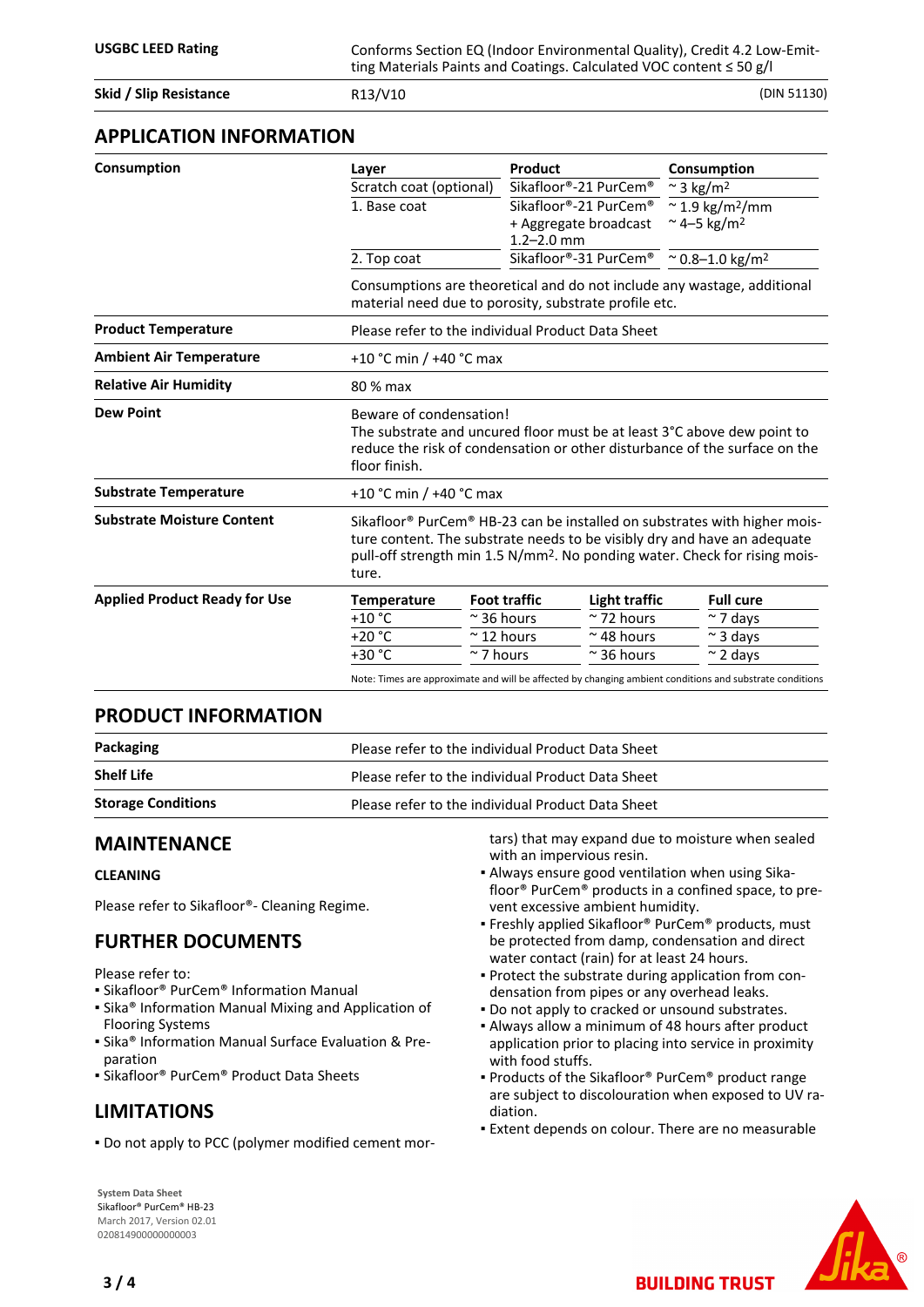**Skid / Slip Resistance** R13/V10 (DIN 51130)

#### **APPLICATION INFORMATION**

| Consumption                          | Layer                                                                                                                                                                                                                                                    | Product                                                                                                                                                                          | Consumption                          |  |  |  |
|--------------------------------------|----------------------------------------------------------------------------------------------------------------------------------------------------------------------------------------------------------------------------------------------------------|----------------------------------------------------------------------------------------------------------------------------------------------------------------------------------|--------------------------------------|--|--|--|
|                                      | Scratch coat (optional)                                                                                                                                                                                                                                  | Sikafloor®-21 PurCem®                                                                                                                                                            | $\approx$ 3 kg/m <sup>2</sup>        |  |  |  |
|                                      | 1. Base coat                                                                                                                                                                                                                                             | Sikafloor®-21 PurCem®                                                                                                                                                            | $\approx$ 1.9 kg/m <sup>2</sup> /mm  |  |  |  |
|                                      |                                                                                                                                                                                                                                                          | + Aggregate broadcast                                                                                                                                                            | ~4-5 kg/m <sup>2</sup>               |  |  |  |
|                                      |                                                                                                                                                                                                                                                          | $1.2 - 2.0$ mm                                                                                                                                                                   |                                      |  |  |  |
|                                      | 2. Top coat                                                                                                                                                                                                                                              | Sikafloor®-31 PurCem®                                                                                                                                                            | $^{\circ}$ 0.8-1.0 kg/m <sup>2</sup> |  |  |  |
|                                      |                                                                                                                                                                                                                                                          | Consumptions are theoretical and do not include any wastage, additional<br>material need due to porosity, substrate profile etc.                                                 |                                      |  |  |  |
| <b>Product Temperature</b>           |                                                                                                                                                                                                                                                          | Please refer to the individual Product Data Sheet                                                                                                                                |                                      |  |  |  |
| <b>Ambient Air Temperature</b>       |                                                                                                                                                                                                                                                          | +10 °C min / +40 °C max                                                                                                                                                          |                                      |  |  |  |
| <b>Relative Air Humidity</b>         | 80 % max                                                                                                                                                                                                                                                 |                                                                                                                                                                                  |                                      |  |  |  |
| <b>Dew Point</b>                     | floor finish.                                                                                                                                                                                                                                            | Beware of condensation!<br>The substrate and uncured floor must be at least 3°C above dew point to<br>reduce the risk of condensation or other disturbance of the surface on the |                                      |  |  |  |
| <b>Substrate Temperature</b>         |                                                                                                                                                                                                                                                          | +10 °C min / +40 °C max                                                                                                                                                          |                                      |  |  |  |
| <b>Substrate Moisture Content</b>    | Sikafloor® PurCem® HB-23 can be installed on substrates with higher mois-<br>ture content. The substrate needs to be visibly dry and have an adequate<br>pull-off strength min 1.5 N/mm <sup>2</sup> . No ponding water. Check for rising mois-<br>ture. |                                                                                                                                                                                  |                                      |  |  |  |
| <b>Applied Product Ready for Use</b> | <b>Temperature</b>                                                                                                                                                                                                                                       | <b>Foot traffic</b><br>Light traffic                                                                                                                                             | <b>Full cure</b>                     |  |  |  |
|                                      | $+10$ °C                                                                                                                                                                                                                                                 | $\approx$ 72 hours<br>$\approx$ 36 hours                                                                                                                                         | $\sim$ 7 days                        |  |  |  |
|                                      | $+20 °C$                                                                                                                                                                                                                                                 | $~\sim$ 12 hours<br>$~\sim$ 48 hours                                                                                                                                             | $\sim$ 3 days                        |  |  |  |
|                                      | $+30 °C$                                                                                                                                                                                                                                                 | $\approx$ 7 hours<br>$\approx$ 36 hours                                                                                                                                          | $\approx$ 2 days                     |  |  |  |

#### **PRODUCT INFORMATION**

| Packaging                 | Please refer to the individual Product Data Sheet |  |
|---------------------------|---------------------------------------------------|--|
| <b>Shelf Life</b>         | Please refer to the individual Product Data Sheet |  |
| <b>Storage Conditions</b> | Please refer to the individual Product Data Sheet |  |

### **MAINTENANCE**

#### **CLEANING**

Please refer to Sikafloor®- Cleaning Regime.

## **FURTHER DOCUMENTS**

Please refer to:

- Sikafloor® PurCem® Information Manual
- **Examps Information Manual Mixing and Application of** Flooring Systems
- **Examps Information Manual Surface Evaluation & Pre**paration
- Sikafloor® PurCem® Product Data Sheets

## **LIMITATIONS**

▪ Do not apply to PCC (polymer modified cement mor-

**System Data Sheet** Sikafloor® PurCem® HB-23 March 2017, Version 02.01 020814900000000003

tars) that may expand due to moisture when sealed with an impervious resin. Always ensure good ventilation when using Sika-▪

- floor® PurCem® products in a confined space, to prevent excessive ambient humidity.
- **Freshly applied Sikafloor® PurCem® products, must** be protected from damp, condensation and direct water contact (rain) for at least 24 hours.
- Protect the substrate during application from con-▪ densation from pipes or any overhead leaks.
- Do not apply to cracked or unsound substrates.
- Always allow a minimum of 48 hours after product application prior to placing into service in proximity with food stuffs.
- Products of the Sikafloor® PurCem® product range are subject to discolouration when exposed to UV radiation.
- **Extent depends on colour. There are no measurable**

**BUILDING TRUST**